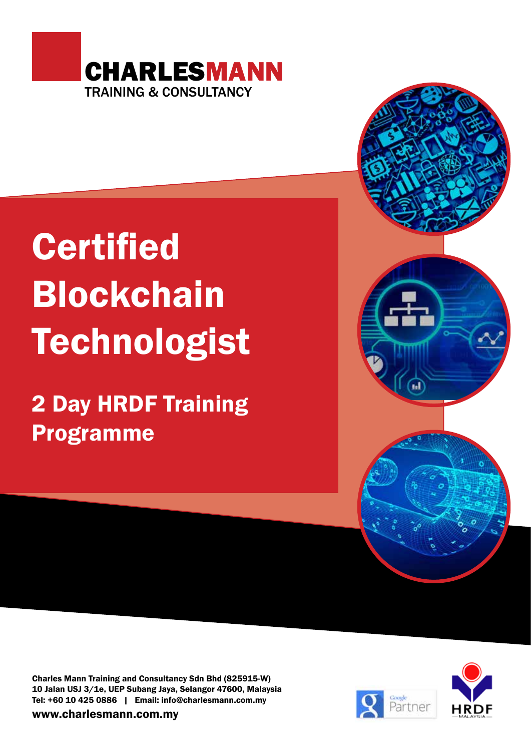

# **Certified** Blockchain **Technologist**

2 Day HRDF Training Programme

Charles Mann Training and Consultancy Sdn Bhd (825915-W) 10 Jalan USJ 3/1e, UEP Subang Jaya, Selangor 47600, Malaysia Tel: +60 10 425 0886 | Email: info@charlesmann.com.my

www.charlesmann.com.my



ы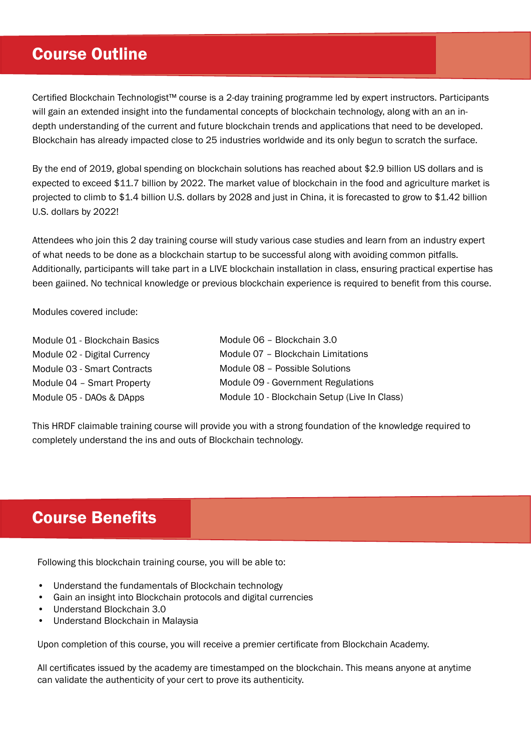## Course Outline

Certified Blockchain Technologist™ course is a 2-day training programme led by expert instructors. Participants will gain an extended insight into the fundamental concepts of blockchain technology, along with an an indepth understanding of the current and future blockchain trends and applications that need to be developed. Blockchain has already impacted close to 25 industries worldwide and its only begun to scratch the surface.

By the end of 2019, global spending on blockchain solutions has reached about \$2.9 billion US dollars and is expected to exceed \$11.7 billion by 2022. The market value of blockchain in the food and agriculture market is projected to climb to \$1.4 billion U.S. dollars by 2028 and just in China, it is forecasted to grow to \$1.42 billion U.S. dollars by 2022!

Attendees who join this 2 day training course will study various case studies and learn from an industry expert of what needs to be done as a blockchain startup to be successful along with avoiding common pitfalls. Additionally, participants will take part in a LIVE blockchain installation in class, ensuring practical expertise has been gaiined. No technical knowledge or previous blockchain experience is required to benefit from this course.

Modules covered include:

| Module 01 - Blockchain Basics | Module 06 - Blockchain 3.0                   |
|-------------------------------|----------------------------------------------|
| Module 02 - Digital Currency  | Module 07 - Blockchain Limitations           |
| Module 03 - Smart Contracts   | Module 08 - Possible Solutions               |
| Module 04 - Smart Property    | Module 09 - Government Regulations           |
| Module 05 - DAOs & DApps      | Module 10 - Blockchain Setup (Live In Class) |

This HRDF claimable training course will provide you with a strong foundation of the knowledge required to completely understand the ins and outs of Blockchain technology.

## Course Benefits

Following this blockchain training course, you will be able to:

- Understand the fundamentals of Blockchain technology
- Gain an insight into Blockchain protocols and digital currencies
- Understand Blockchain 3.0
- Understand Blockchain in Malaysia

Upon completion of this course, you will receive a premier certificate from Blockchain Academy.

All certificates issued by the academy are timestamped on the blockchain. This means anyone at anytime can validate the authenticity of your cert to prove its authenticity.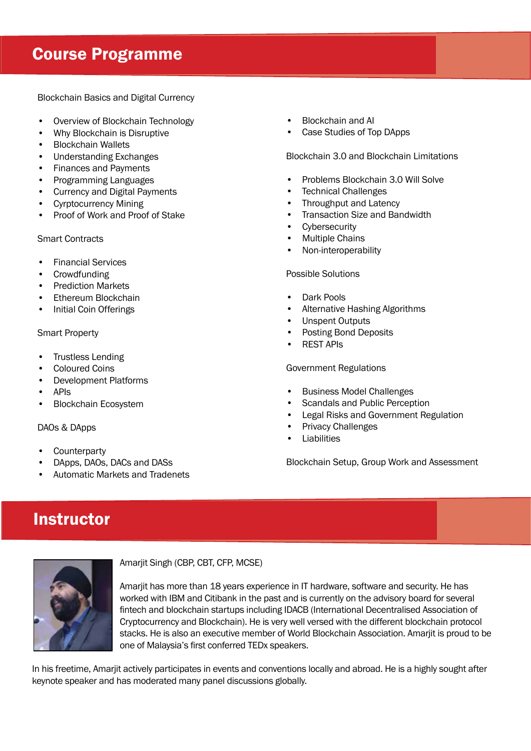# Course Programme

Blockchain Basics and Digital Currency

- Overview of Blockchain Technology
- Why Blockchain is Disruptive
- Blockchain Wallets
- Understanding Exchanges
- Finances and Payments
- Programming Languages
- Currency and Digital Payments
- Cyrptocurrency Mining
- Proof of Work and Proof of Stake

Smart Contracts

- Financial Services
- Crowdfunding
- Prediction Markets
- Ethereum Blockchain
- Initial Coin Offerings

#### Smart Property

- Trustless Lending
- Coloured Coins
- Development Platforms
- APIs
- Blockchain Ecosystem

## DAOs & DApps

- **Counterparty**
- DApps, DAOs, DACs and DASs
- Automatic Markets and Tradenets
- Blockchain and AI
- Case Studies of Top DApps

Blockchain 3.0 and Blockchain Limitations

- Problems Blockchain 3.0 Will Solve
- **Technical Challenges**
- Throughput and Latency
- Transaction Size and Bandwidth
- **Cybersecurity**
- **Multiple Chains**
- Non-interoperability

## Possible Solutions

- Dark Pools
- Alternative Hashing Algorithms
- Unspent Outputs
- Posting Bond Deposits
- REST APIs

#### Government Regulations

- Business Model Challenges
- Scandals and Public Perception
- Legal Risks and Government Regulation
- Privacy Challenges
- **Liabilities**

Blockchain Setup, Group Work and Assessment

# **Instructor**



Amarjit Singh (CBP, CBT, CFP, MCSE)

Amarjit has more than 18 years experience in IT hardware, software and security. He has worked with IBM and Citibank in the past and is currently on the advisory board for several fintech and blockchain startups including IDACB (International Decentralised Association of Cryptocurrency and Blockchain). He is very well versed with the different blockchain protocol stacks. He is also an executive member of World Blockchain Association. Amarjit is proud to be one of Malaysia's first conferred TEDx speakers.

In his freetime, Amarjit actively participates in events and conventions locally and abroad. He is a highly sought after keynote speaker and has moderated many panel discussions globally.